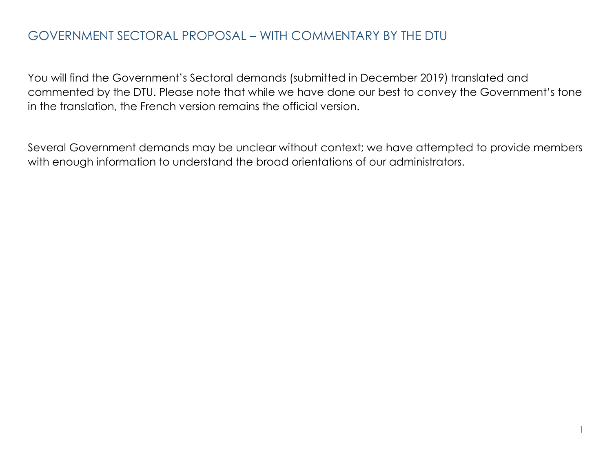# GOVERNMENT SECTORAL PROPOSAL – WITH COMMENTARY BY THE DTU

You will find the Government's Sectoral demands (submitted in December 2019) translated and commented by the DTU. Please note that while we have done our best to convey the Government's tone in the translation, the French version remains the official version.

Several Government demands may be unclear without context; we have attempted to provide members with enough information to understand the broad orientations of our administrators.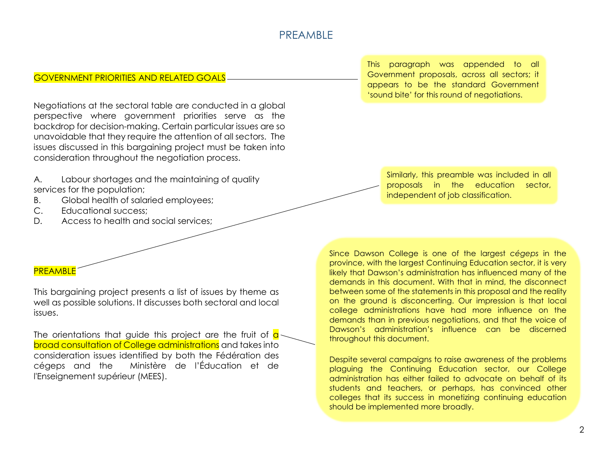# PREAMBLE

### GOVERNMENT PRIORITIES AND RELATED GOALS

Negotiations at the sectoral table are conducted in a global perspective where government priorities serve as the backdrop for decision-making. Certain particular issues are so unavoidable that they require the attention of all sectors. The issues discussed in this bargaining project must be taken into consideration throughout the negotiation process.

A. Labour shortages and the maintaining of quality services for the population;

- B. Global health of salaried employees;
- C. Educational success;
- D. Access to health and social services;

#### PREAMBLE

This bargaining project presents a list of issues by theme as well as possible solutions. It discusses both sectoral and local issues.

The orientations that guide this project are the fruit of  $\alpha$ broad consultation of College administrations and takes into consideration issues identified by both the Fédération des cégeps and the Ministère de l'Éducation et de l'Enseignement supérieur (MEES).

This paragraph was appended to all Government proposals, across all sectors; it appears to be the standard Government 'sound bite' for this round of negotiations.

Similarly, this preamble was included in all proposals in the education sector, independent of job classification.

Since Dawson College is one of the largest *cégeps* in the province, with the largest Continuing Education sector, it is very likely that Dawson's administration has influenced many of the demands in this document. With that in mind, the disconnect between some of the statements in this proposal and the reality on the ground is disconcerting. Our impression is that local college administrations have had more influence on the demands than in previous negotiations, and that the voice of Dawson's administration's influence can be discerned throughout this document.

Despite several campaigns to raise awareness of the problems plaguing the Continuing Education sector, our College administration has either failed to advocate on behalf of its students and teachers, or perhaps, has convinced other colleges that its success in monetizing continuing education should be implemented more broadly.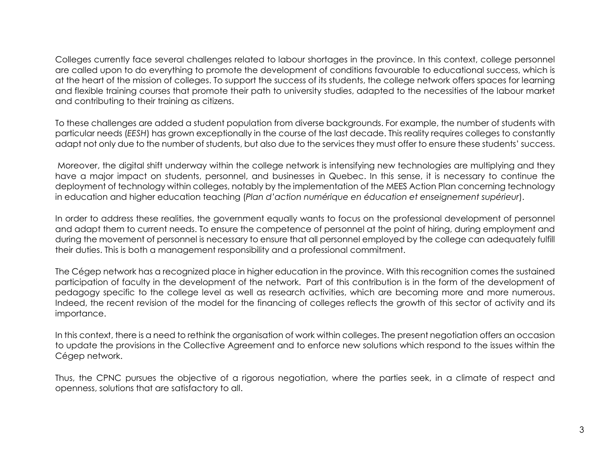Colleges currently face several challenges related to labour shortages in the province. In this context, college personnel are called upon to do everything to promote the development of conditions favourable to educational success, which is at the heart of the mission of colleges. To support the success of its students, the college network offers spaces for learning and flexible training courses that promote their path to university studies, adapted to the necessities of the labour market and contributing to their training as citizens.

To these challenges are added a student population from diverse backgrounds. For example, the number of students with particular needs (*EESH*) has grown exceptionally in the course of the last decade. This reality requires colleges to constantly adapt not only due to the number of students, but also due to the services they must offer to ensure these students' success.

Moreover, the digital shift underway within the college network is intensifying new technologies are multiplying and they have a major impact on students, personnel, and businesses in Quebec. In this sense, it is necessary to continue the deployment of technology within colleges, notably by the implementation of the MEES Action Plan concerning technology in education and higher education teaching (*Plan d'action numérique en éducation et enseignement supérieur*).

In order to address these realities, the government equally wants to focus on the professional development of personnel and adapt them to current needs. To ensure the competence of personnel at the point of hiring, during employment and during the movement of personnel is necessary to ensure that all personnel employed by the college can adequately fulfill their duties. This is both a management responsibility and a professional commitment.

The Cégep network has a recognized place in higher education in the province. With this recognition comes the sustained participation of faculty in the development of the network. Part of this contribution is in the form of the development of pedagogy specific to the college level as well as research activities, which are becoming more and more numerous. Indeed, the recent revision of the model for the financing of colleges reflects the growth of this sector of activity and its importance.

In this context, there is a need to rethink the organisation of work within colleges. The present negotiation offers an occasion to update the provisions in the Collective Agreement and to enforce new solutions which respond to the issues within the Cégep network.

Thus, the CPNC pursues the objective of a rigorous negotiation, where the parties seek, in a climate of respect and openness, solutions that are satisfactory to all.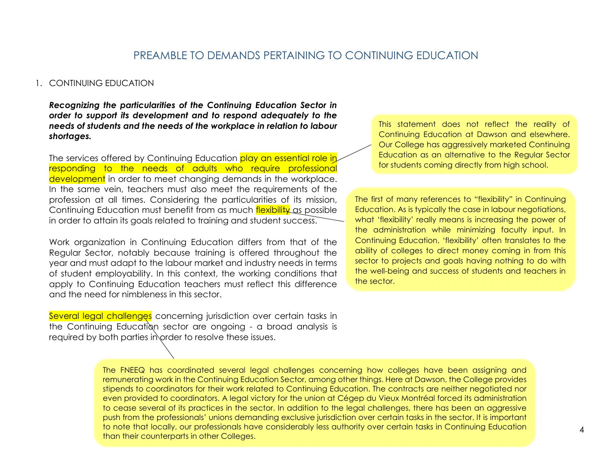### PREAMBLE TO DEMANDS PERTAINING TO CONTINUING EDUCATION

#### 1. CONTINUING EDUCATION

*Recognizing the particularities of the Continuing Education Sector in order to support its development and to respond adequately to the needs of students and the needs of the workplace in relation to labour shortages.*

The services offered by Continuing Education play an essential role in responding to the needs of adults who require professional development in order to meet changing demands in the workplace. In the same vein, teachers must also meet the requirements of the profession at all times. Considering the particularities of its mission, Continuing Education must benefit from as much flexibility as possible in order to attain its goals related to training and student success.

Work organization in Continuing Education differs from that of the Regular Sector, notably because training is offered throughout the year and must adapt to the labour market and industry needs in terms of student employability. In this context, the working conditions that apply to Continuing Education teachers must reflect this difference and the need for nimbleness in this sector.

Several legal challenges concerning jurisdiction over certain tasks in the Continuing Education sector are ongoing - a broad analysis is required by both parties in order to resolve these issues.

This statement does not reflect the reality of Continuing Education at Dawson and elsewhere. Our College has aggressively marketed Continuing Education as an alternative to the Regular Sector for students coming directly from high school.

The first of many references to "flexibility" in Continuing Education. As is typically the case in labour negotiations, what 'flexibility' really means is increasing the power of the administration while minimizing faculty input. In Continuing Education, 'flexibility' often translates to the ability of colleges to direct money coming in from this sector to projects and goals having nothing to do with the well-being and success of students and teachers in the sector.

The FNEEQ has coordinated several legal challenges concerning how colleges have been assigning and remunerating work in the Continuing Education Sector, among other things. Here at Dawson, the College provides stipends to coordinators for their work related to Continuing Education. The contracts are neither negotiated nor even provided to coordinators. A legal victory for the union at Cégep du Vieux Montréal forced its administration to cease several of its practices in the sector. In addition to the legal challenges, there has been an aggressive push from the professionals' unions demanding exclusive jurisdiction over certain tasks in the sector. It is important to note that locally, our professionals have considerably less authority over certain tasks in Continuing Education than their counterparts in other Colleges.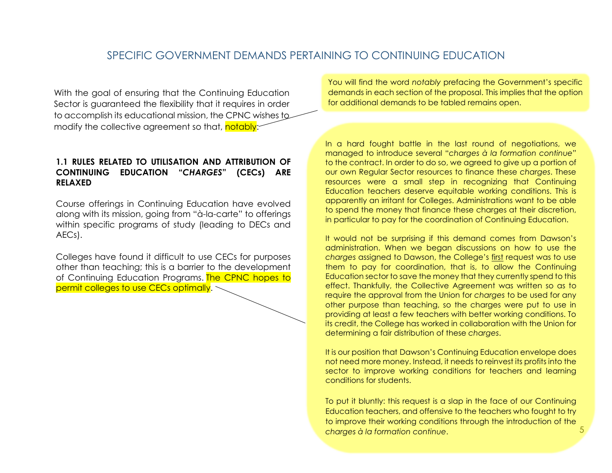### SPECIFIC GOVERNMENT DEMANDS PERTAINING TO CONTINUING EDUCATION

With the goal of ensuring that the Continuing Education Sector is guaranteed the flexibility that it requires in order to accomplish its educational mission, the CPNC wishes to modify the collective agreement so that, notably:

#### **1.1 RULES RELATED TO UTILISATION AND ATTRIBUTION OF CONTINUING EDUCATION "***CHARGES***" (CECs) ARE RELAXED**

Course offerings in Continuing Education have evolved along with its mission, going from "à-la-carte" to offerings within specific programs of study (leading to DECs and AECs).

Colleges have found it difficult to use CECs for purposes other than teaching; this is a barrier to the development of Continuing Education Programs. The CPNC hopes to permit colleges to use CECs optimally.

You will find the word *notably* prefacing the Government's specific demands in each section of the proposal. This implies that the option for additional demands to be tabled remains open.

In a hard fought battle in the last round of negotiations, we managed to introduce several "*charges à la formation continue*" to the contract. In order to do so, we agreed to give up a portion of our own Regular Sector resources to finance these *charges*. These resources were a small step in recognizing that Continuing Education teachers deserve equitable working conditions. This is apparently an irritant for Colleges. Administrations want to be able to spend the money that finance these charges at their discretion, in particular to pay for the coordination of Continuing Education.

It would not be surprising if this demand comes from Dawson's administration. When we began discussions on how to use the *charges* assigned to Dawson, the College's first request was to use them to pay for coordination, that is, to allow the Continuing Education sector to save the money that they currently spend to this effect. Thankfully, the Collective Agreement was written so as to require the approval from the Union for *charges* to be used for any other purpose than teaching, so the charges were put to use in providing at least a few teachers with better working conditions. To its credit, the College has worked in collaboration with the Union for determining a fair distribution of these *charges*.

It is our position that Dawson's Continuing Education envelope does not need more money. Instead, it needs to reinvest its profits into the sector to improve working conditions for teachers and learning conditions for students.

5 To put it bluntly: this request is a slap in the face of our Continuing Education teachers, and offensive to the teachers who fought to try to improve their working conditions through the introduction of the *charges à la formation continue*.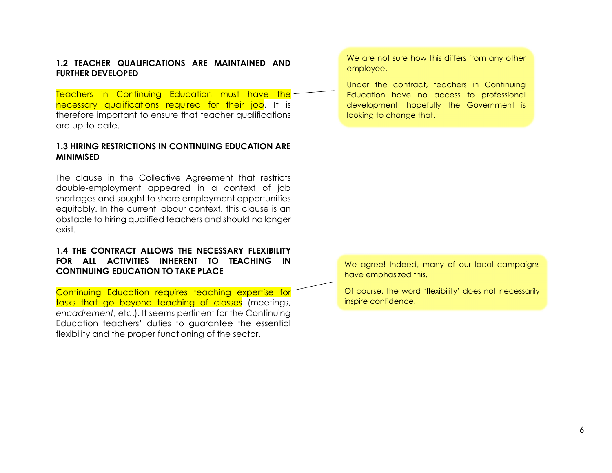#### **1.2 TEACHER QUALIFICATIONS ARE MAINTAINED AND FURTHER DEVELOPED**

Teachers in Continuing Education must have the necessary qualifications required for their job. It is therefore important to ensure that teacher qualifications are up-to-date.

#### **1.3 HIRING RESTRICTIONS IN CONTINUING EDUCATION ARE MINIMISED**

The clause in the Collective Agreement that restricts double-employment appeared in a context of job shortages and sought to share employment opportunities equitably. In the current labour context, this clause is an obstacle to hiring qualified teachers and should no longer exist.

### **1.4 THE CONTRACT ALLOWS THE NECESSARY FLEXIBILITY FOR ALL ACTIVITIES INHERENT TO TEACHING IN CONTINUING EDUCATION TO TAKE PLACE**

Continuing Education requires teaching expertise for tasks that go beyond teaching of classes (meetings, *encadrement*, etc.). It seems pertinent for the Continuing Education teachers' duties to guarantee the essential flexibility and the proper functioning of the sector.

We are not sure how this differs from any other employee.

Under the contract, teachers in Continuing Education have no access to professional development; hopefully the Government is looking to change that.

We agree! Indeed, many of our local campaigns have emphasized this.

Of course, the word 'flexibility' does not necessarily inspire confidence.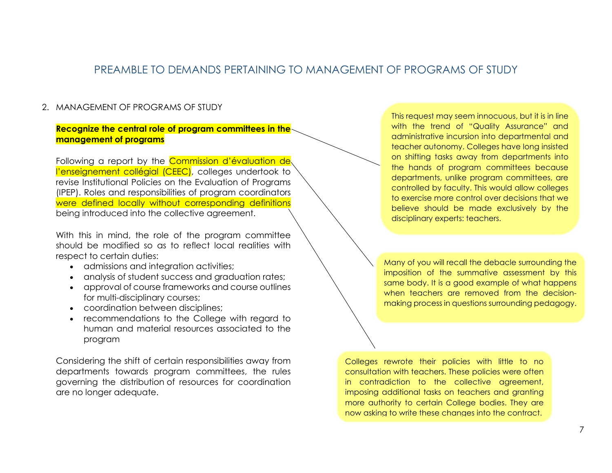# PREAMBLE TO DEMANDS PERTAINING TO MANAGEMENT OF PROGRAMS OF STUDY

#### 2. MANAGEMENT OF PROGRAMS OF STUDY

#### **Recognize the central role of program committees in the management of programs**

Following a report by the Commission d'évaluation de l'enseignement collégial (CEEC), colleges undertook to revise Institutional Policies on the Evaluation of Programs (IPEP). Roles and responsibilities of program coordinators were defined locally without corresponding definitions being introduced into the collective agreement.

With this in mind, the role of the program committee should be modified so as to reflect local realities with respect to certain duties:

- admissions and integration activities;
- analysis of student success and graduation rates;
- approval of course frameworks and course outlines for multi-disciplinary courses;
- coordination between disciplines;
- recommendations to the College with regard to human and material resources associated to the program

Considering the shift of certain responsibilities away from departments towards program committees, the rules governing the distribution of resources for coordination are no longer adequate.

This request may seem innocuous, but it is in line with the trend of "Quality Assurance" and administrative incursion into departmental and teacher autonomy. Colleges have long insisted on shifting tasks away from departments into the hands of program committees because departments, unlike program committees, are controlled by faculty. This would allow colleges to exercise more control over decisions that we believe should be made exclusively by the disciplinary experts: teachers.

Many of you will recall the debacle surrounding the imposition of the summative assessment by this same body. It is a good example of what happens when teachers are removed from the decisionmaking process in questions surrounding pedagogy.

Colleges rewrote their policies with little to no consultation with teachers. These policies were often in contradiction to the collective agreement, imposing additional tasks on teachers and granting more authority to certain College bodies. They are now asking to write these changes into the contract.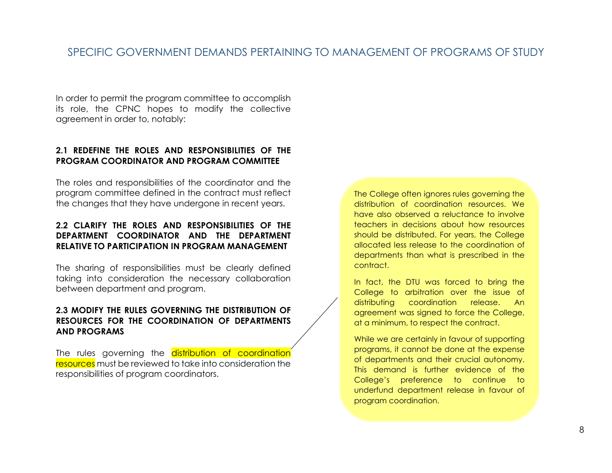# SPECIFIC GOVERNMENT DEMANDS PERTAINING TO MANAGEMENT OF PROGRAMS OF STUDY

In order to permit the program committee to accomplish its role, the CPNC hopes to modify the collective agreement in order to, notably:

#### **2.1 REDEFINE THE ROLES AND RESPONSIBILITIES OF THE PROGRAM COORDINATOR AND PROGRAM COMMITTEE**

The roles and responsibilities of the coordinator and the program committee defined in the contract must reflect the changes that they have undergone in recent years.

### **2.2 CLARIFY THE ROLES AND RESPONSIBILITIES OF THE DEPARTMENT COORDINATOR AND THE DEPARTMENT RELATIVE TO PARTICIPATION IN PROGRAM MANAGEMENT**

The sharing of responsibilities must be clearly defined taking into consideration the necessary collaboration between department and program.

#### **2.3 MODIFY THE RULES GOVERNING THE DISTRIBUTION OF RESOURCES FOR THE COORDINATION OF DEPARTMENTS AND PROGRAMS**

The rules governing the distribution of coordination resources must be reviewed to take into consideration the responsibilities of program coordinators.

The College often ignores rules governing the distribution of coordination resources. We have also observed a reluctance to involve teachers in decisions about how resources should be distributed. For years, the College allocated less release to the coordination of departments than what is prescribed in the contract.

In fact, the DTU was forced to bring the College to arbitration over the issue of distributing coordination release. An agreement was signed to force the College, at a minimum, to respect the contract.

While we are certainly in favour of supporting programs, it cannot be done at the expense of departments and their crucial autonomy. This demand is further evidence of the College's preference to continue to underfund department release in favour of program coordination.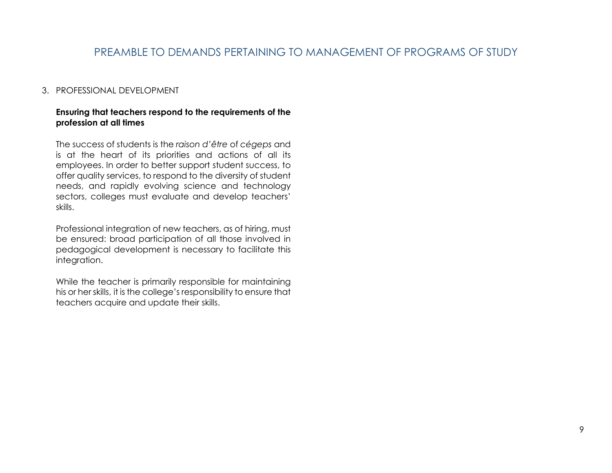# PREAMBLE TO DEMANDS PERTAINING TO MANAGEMENT OF PROGRAMS OF STUDY

#### 3. PROFESSIONAL DEVELOPMENT

#### **Ensuring that teachers respond to the requirements of the profession at all times**

The success of students is the *raison d'être* of *cégeps* and is at the heart of its priorities and actions of all its employees. In order to better support student success, to offer quality services, to respond to the diversity of student needs, and rapidly evolving science and technology sectors, colleges must evaluate and develop teachers' skills.

Professional integration of new teachers, as of hiring, must be ensured: broad participation of all those involved in pedagogical development is necessary to facilitate this integration.

While the teacher is primarily responsible for maintaining his or her skills, it is the college's responsibility to ensure that teachers acquire and update their skills.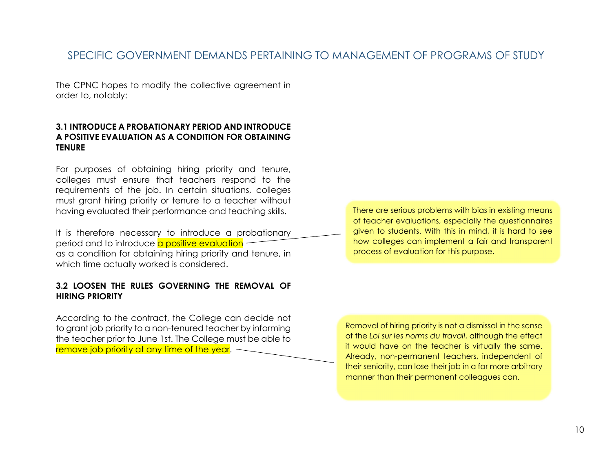# SPECIFIC GOVERNMENT DEMANDS PERTAINING TO MANAGEMENT OF PROGRAMS OF STUDY

The CPNC hopes to modify the collective agreement in order to, notably:

#### **3.1 INTRODUCE A PROBATIONARY PERIOD AND INTRODUCE A POSITIVE EVALUATION AS A CONDITION FOR OBTAINING TENURE**

For purposes of obtaining hiring priority and tenure, colleges must ensure that teachers respond to the requirements of the job. In certain situations, colleges must grant hiring priority or tenure to a teacher without having evaluated their performance and teaching skills.

It is therefore necessary to introduce a probationary period and to introduce a positive evaluation as a condition for obtaining hiring priority and tenure, in which time actually worked is considered.

#### **3.2 LOOSEN THE RULES GOVERNING THE REMOVAL OF HIRING PRIORITY**

According to the contract, the College can decide not to grant job priority to a non-tenured teacher by informing the teacher prior to June 1st. The College must be able to remove job priority at any time of the year.  $\sim$ 

There are serious problems with bias in existing means of teacher evaluations, especially the questionnaires given to students. With this in mind, it is hard to see how colleges can implement a fair and transparent process of evaluation for this purpose.

Removal of hiring priority is not a dismissal in the sense of the *Loi sur les norms du travail*, although the effect it would have on the teacher is virtually the same. Already, non-permanent teachers, independent of their seniority, can lose their job in a far more arbitrary manner than their permanent colleagues can.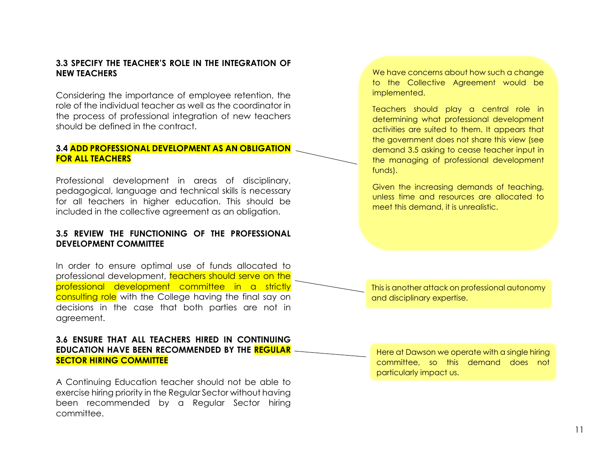#### **3.3 SPECIFY THE TEACHER'S ROLE IN THE INTEGRATION OF NEW TEACHERS**

Considering the importance of employee retention, the role of the individual teacher as well as the coordinator in the process of professional integration of new teachers should be defined in the contract.

#### **3.4 ADD PROFESSIONAL DEVELOPMENT AS AN OBLIGATION FOR ALL TEACHERS**

Professional development in areas of disciplinary, pedagogical, language and technical skills is necessary for all teachers in higher education. This should be included in the collective agreement as an obligation.

#### **3.5 REVIEW THE FUNCTIONING OF THE PROFESSIONAL DEVELOPMENT COMMITTEE**

In order to ensure optimal use of funds allocated to professional development, teachers should serve on the professional development committee in a strictly consulting role with the College having the final say on decisions in the case that both parties are not in agreement.

#### **3.6 ENSURE THAT ALL TEACHERS HIRED IN CONTINUING EDUCATION HAVE BEEN RECOMMENDED BY THE REGULAR SECTOR HIRING COMMITTEE**

A Continuing Education teacher should not be able to exercise hiring priority in the Regular Sector without having been recommended by a Regular Sector hiring committee.

We have concerns about how such a change to the Collective Agreement would be implemented.

Teachers should play a central role in determining what professional development activities are suited to them. It appears that the government does not share this view (see demand 3.5 asking to cease teacher input in the managing of professional development funds).

Given the increasing demands of teaching, unless time and resources are allocated to meet this demand, it is unrealistic.

This is another attack on professional autonomy and disciplinary expertise.

Here at Dawson we operate with a single hiring committee, so this demand does not particularly impact us.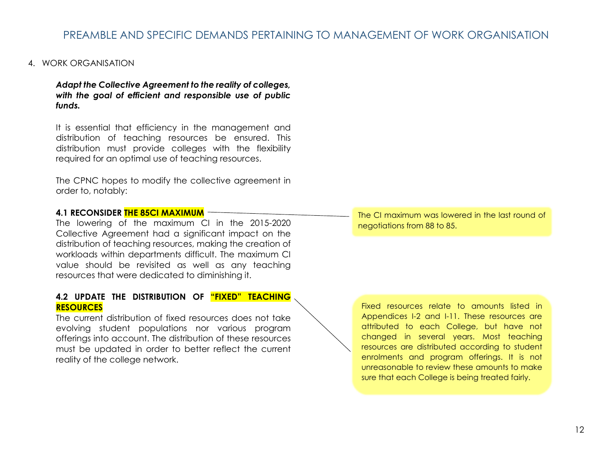## PREAMBLE AND SPECIFIC DEMANDS PERTAINING TO MANAGEMENT OF WORK ORGANISATION

#### 4. WORK ORGANISATION

*Adapt the Collective Agreement to the reality of colleges, with the goal of efficient and responsible use of public funds.*

It is essential that efficiency in the management and distribution of teaching resources be ensured. This distribution must provide colleges with the flexibility required for an optimal use of teaching resources.

The CPNC hopes to modify the collective agreement in order to, notably:

#### **4.1 RECONSIDER THE 85CI MAXIMUM**

The lowering of the maximum CI in the 2015-2020 Collective Agreement had a significant impact on the distribution of teaching resources, making the creation of workloads within departments difficult. The maximum CI value should be revisited as well as any teaching resources that were dedicated to diminishing it.

#### **4.2 UPDATE THE DISTRIBUTION OF "FIXED" TEACHING RESOURCES**

The current distribution of fixed resources does not take evolving student populations nor various program offerings into account. The distribution of these resources must be updated in order to better reflect the current reality of the college network.

The CI maximum was lowered in the last round of negotiations from 88 to 85.

Fixed resources relate to amounts listed in Appendices I-2 and I-11. These resources are attributed to each College, but have not changed in several years. Most teaching resources are distributed according to student enrolments and program offerings. It is not unreasonable to review these amounts to make sure that each College is being treated fairly.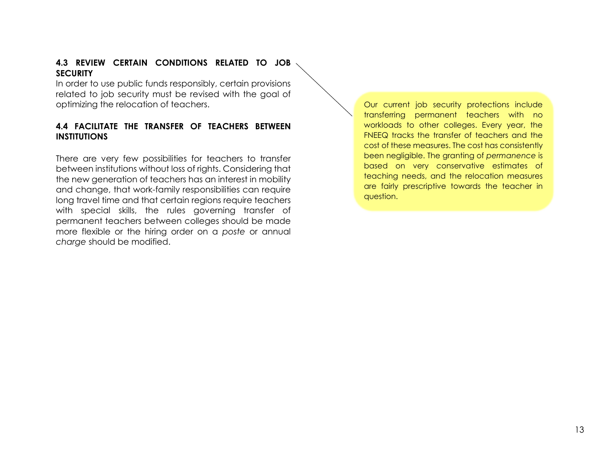#### **4.3 REVIEW CERTAIN CONDITIONS RELATED TO JOB SECURITY**

In order to use public funds responsibly, certain provisions related to job security must be revised with the goal of optimizing the relocation of teachers.

### **4.4 FACILITATE THE TRANSFER OF TEACHERS BETWEEN INSTITUTIONS**

There are very few possibilities for teachers to transfer between institutions without loss of rights. Considering that the new generation of teachers has an interest in mobility and change, that work-family responsibilities can require long travel time and that certain regions require teachers with special skills, the rules governing transfer of permanent teachers between colleges should be made more flexible or the hiring order on a *poste* or annual *charge* should be modified.

Our current job security protections include transferring permanent teachers with no workloads to other colleges. Every year, the FNEEQ tracks the transfer of teachers and the cost of these measures. The cost has consistently been negligible. The granting of *permanence* is based on very conservative estimates of teaching needs, and the relocation measures are fairly prescriptive towards the teacher in question.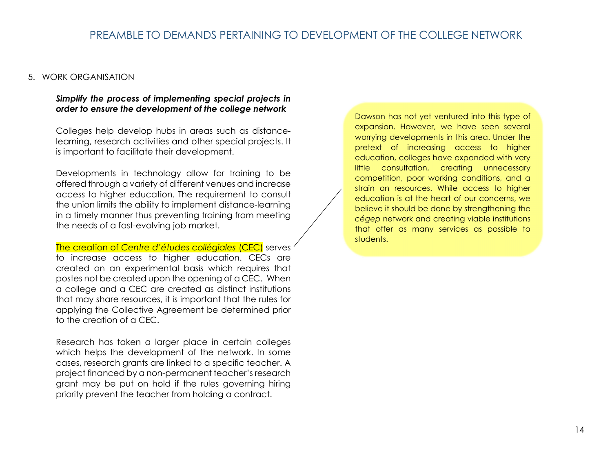#### 5. WORK ORGANISATION

#### *Simplify the process of implementing special projects in order to ensure the development of the college network*

Colleges help develop hubs in areas such as distancelearning, research activities and other special projects. It is important to facilitate their development.

Developments in technology allow for training to be offered through a variety of different venues and increase access to higher education. The requirement to consult the union limits the ability to implement distance-learning in a timely manner thus preventing training from meeting the needs of a fast-evolving job market.

The creation of *Centre d'études collégiales* (CEC) serves to increase access to higher education. CECs are created on an experimental basis which requires that postes not be created upon the opening of a CEC. When a college and a CEC are created as distinct institutions that may share resources, it is important that the rules for applying the Collective Agreement be determined prior to the creation of a CEC.

Research has taken a larger place in certain colleges which helps the development of the network. In some cases, research grants are linked to a specific teacher. A project financed by a non-permanent teacher's research grant may be put on hold if the rules governing hiring priority prevent the teacher from holding a contract.

Dawson has not yet ventured into this type of expansion. However, we have seen several worrying developments in this area. Under the pretext of increasing access to higher education, colleges have expanded with very little consultation, creating unnecessary competition, poor working conditions, and a strain on resources. While access to higher education is at the heart of our concerns, we believe it should be done by strengthening the *cégep* network and creating viable institutions that offer as many services as possible to students.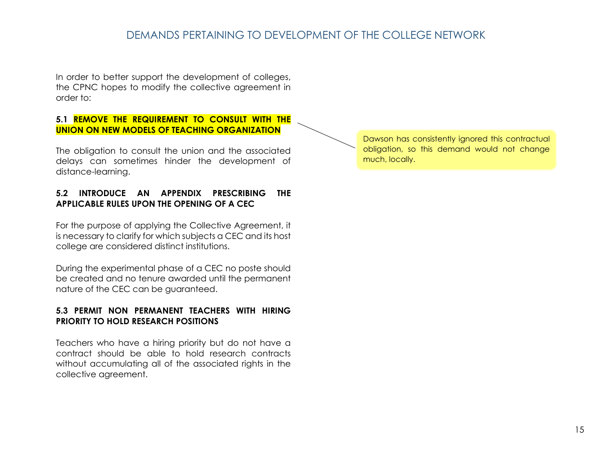# DEMANDS PERTAINING TO DEVELOPMENT OF THE COLLEGE NETWORK

In order to better support the development of colleges, the CPNC hopes to modify the collective agreement in order to:

### **5.1 REMOVE THE REQUIREMENT TO CONSULT WITH THE UNION ON NEW MODELS OF TEACHING ORGANIZATION**

The obligation to consult the union and the associated delays can sometimes hinder the development of distance-learning.

### **5.2 INTRODUCE AN APPENDIX PRESCRIBING THE APPLICABLE RULES UPON THE OPENING OF A CEC**

For the purpose of applying the Collective Agreement, it is necessary to clarify for which subjects a CEC and its host college are considered distinct institutions.

During the experimental phase of a CEC no poste should be created and no tenure awarded until the permanent nature of the CEC can be guaranteed.

### **5.3 PERMIT NON PERMANENT TEACHERS WITH HIRING PRIORITY TO HOLD RESEARCH POSITIONS**

Teachers who have a hiring priority but do not have a contract should be able to hold research contracts without accumulating all of the associated rights in the collective agreement.

Dawson has consistently ignored this contractual obligation, so this demand would not change much, locally.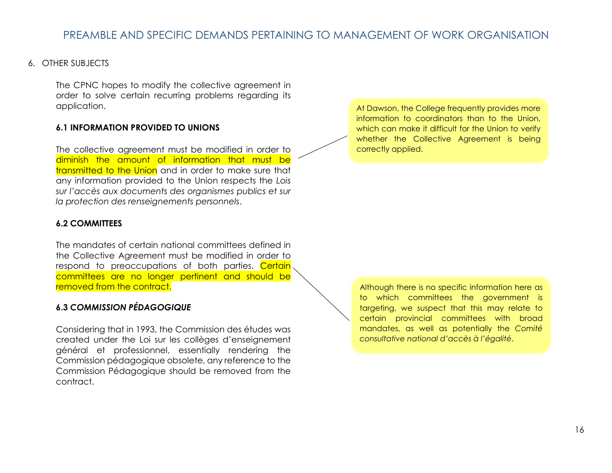#### 6. OTHER SUBJECTS

The CPNC hopes to modify the collective agreement in order to solve certain recurring problems regarding its application.

#### **6.1 INFORMATION PROVIDED TO UNIONS**

The collective agreement must be modified in order to diminish the amount of information that must be transmitted to the Union and in order to make sure that any information provided to the Union respects the *Lois sur l'accès aux documents des organismes publics et sur la protection des renseignements personnels*.

#### **6.2 COMMITTEES**

The mandates of certain national committees defined in the Collective Agreement must be modified in order to respond to preoccupations of both parties. Certain committees are no longer pertinent and should be removed from the contract.

### **6.3** *COMMISSION PÉDAGOGIQUE*

Considering that in 1993, the Commission des études was created under the Loi sur les collèges d'enseignement général et professionnel, essentially rendering the Commission pédagogique obsolete, any reference to the Commission Pédagogique should be removed from the contract.

At Dawson, the College frequently provides more information to coordinators than to the Union, which can make it difficult for the Union to verify whether the Collective Agreement is being correctly applied.

Although there is no specific information here as to which committees the government is targeting, we suspect that this may relate to certain provincial committees with broad mandates, as well as potentially the *Comité consultative national d'accès à l'égalité*.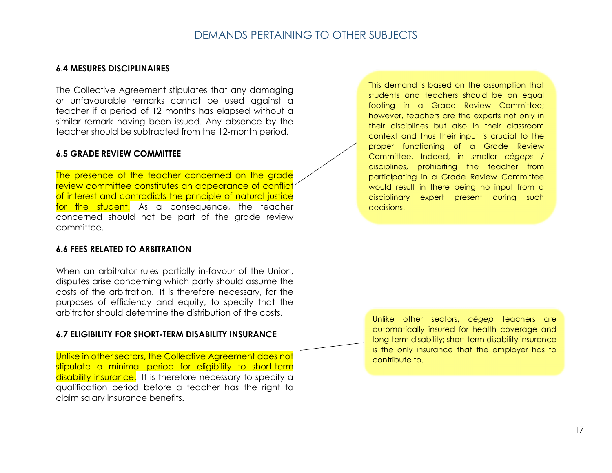### DEMANDS PERTAINING TO OTHER SUBJECTS

#### **6.4 MESURES DISCIPLINAIRES**

The Collective Agreement stipulates that any damaging or unfavourable remarks cannot be used against a teacher if a period of 12 months has elapsed without a similar remark having been issued. Any absence by the teacher should be subtracted from the 12-month period.

#### **6.5 GRADE REVIEW COMMITTEE**

The presence of the teacher concerned on the grade review committee constitutes an appearance of conflict of interest and contradicts the principle of natural justice for the student. As a consequence, the teacher concerned should not be part of the grade review committee.

#### **6.6 FEES RELATED TO ARBITRATION**

When an arbitrator rules partially in-favour of the Union, disputes arise concerning which party should assume the costs of the arbitration. It is therefore necessary, for the purposes of efficiency and equity, to specify that the arbitrator should determine the distribution of the costs.

#### **6.7 ELIGIBILITY FOR SHORT-TERM DISABILITY INSURANCE**

Unlike in other sectors, the Collective Agreement does not stipulate a minimal period for eligibility to short-term disability insurance. It is therefore necessary to specify a qualification period before a teacher has the right to claim salary insurance benefits.

This demand is based on the assumption that students and teachers should be on equal footing in a Grade Review Committee; however, teachers are the experts not only in their disciplines but also in their classroom context and thus their input is crucial to the proper functioning of a Grade Review Committee. Indeed, in smaller *cégeps* / disciplines, prohibiting the teacher from participating in a Grade Review Committee would result in there being no input from a disciplinary expert present during such decisions.

Unlike other sectors, *cégep* teachers are automatically insured for health coverage and long-term disability; short-term disability insurance is the only insurance that the employer has to contribute to.